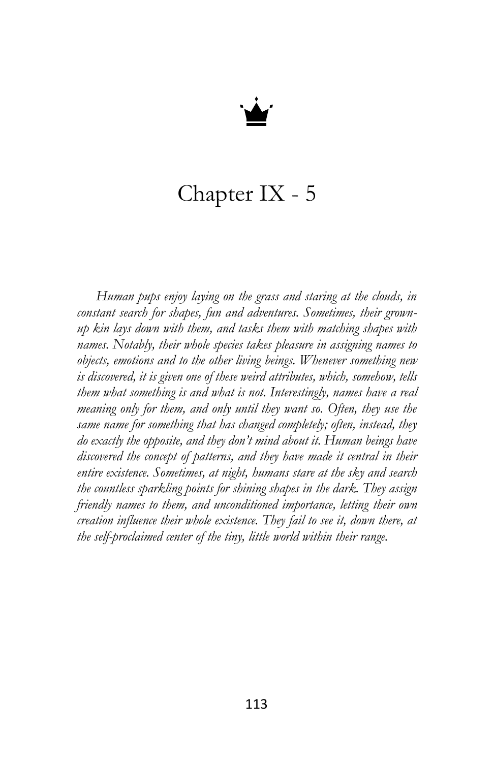

## Chapter IX - 5

*Human pups enjoy laying on the grass and staring at the clouds, in constant search for shapes, fun and adventures. Sometimes, their grownup kin lays down with them, and tasks them with matching shapes with names. Notably, their whole species takes pleasure in assigning names to objects, emotions and to the other living beings. Whenever something new is discovered, it is given one of these weird attributes, which, somehow, tells them what something is and what is not. Interestingly, names have a real meaning only for them, and only until they want so. Often, they use the same name for something that has changed completely; often, instead, they do exactly the opposite, and they don't mind about it. Human beings have discovered the concept of patterns, and they have made it central in their entire existence. Sometimes, at night, humans stare at the sky and search the countless sparkling points for shining shapes in the dark. They assign friendly names to them, and unconditioned importance, letting their own creation influence their whole existence. They fail to see it, down there, at the self-proclaimed center of the tiny, little world within their range.*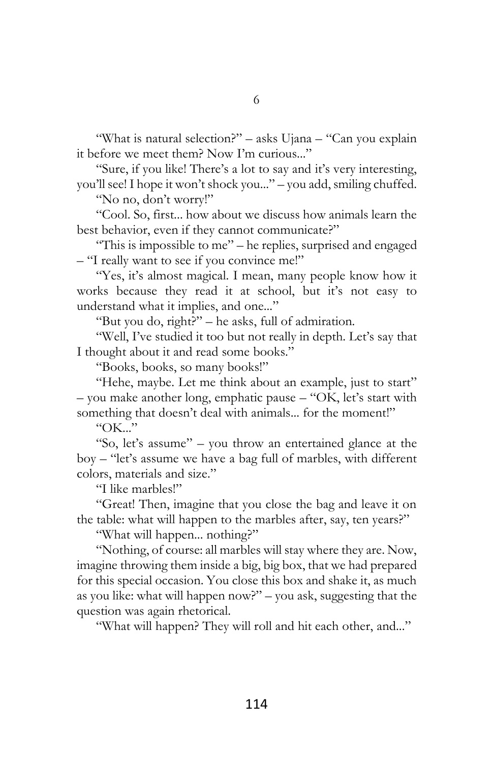"What is natural selection?" – asks Ujana – "Can you explain it before we meet them? Now I'm curious..."

"Sure, if you like! There's a lot to say and it's very interesting, you'll see! I hope it won't shock you..." – you add, smiling chuffed.

"No no, don't worry!"

"Cool. So, first... how about we discuss how animals learn the best behavior, even if they cannot communicate?"

"This is impossible to me" – he replies, surprised and engaged – "I really want to see if you convince me!"

"Yes, it's almost magical. I mean, many people know how it works because they read it at school, but it's not easy to understand what it implies, and one..."

"But you do, right?" – he asks, full of admiration.

"Well, I've studied it too but not really in depth. Let's say that I thought about it and read some books."

"Books, books, so many books!"

"Hehe, maybe. Let me think about an example, just to start" – you make another long, emphatic pause – "OK, let's start with something that doesn't deal with animals... for the moment!"

" $OK$ "

"So, let's assume" – you throw an entertained glance at the boy – "let's assume we have a bag full of marbles, with different colors, materials and size."

"I like marbles!"

"Great! Then, imagine that you close the bag and leave it on the table: what will happen to the marbles after, say, ten years?"

"What will happen... nothing?"

"Nothing, of course: all marbles will stay where they are. Now, imagine throwing them inside a big, big box, that we had prepared for this special occasion. You close this box and shake it, as much as you like: what will happen now?" – you ask, suggesting that the question was again rhetorical.

"What will happen? They will roll and hit each other, and..."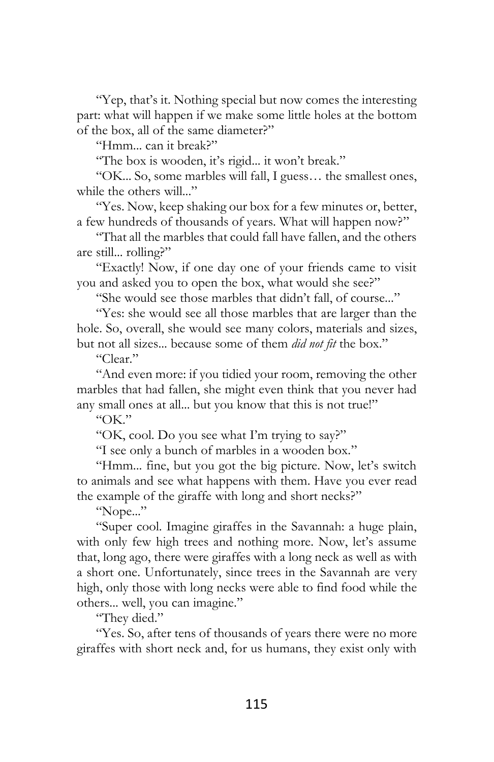"Yep, that's it. Nothing special but now comes the interesting part: what will happen if we make some little holes at the bottom of the box, all of the same diameter?"

"Hmm... can it break?"

"The box is wooden, it's rigid... it won't break."

"OK... So, some marbles will fall, I guess… the smallest ones, while the others will..."

"Yes. Now, keep shaking our box for a few minutes or, better, a few hundreds of thousands of years. What will happen now?"

"That all the marbles that could fall have fallen, and the others are still... rolling?"

"Exactly! Now, if one day one of your friends came to visit you and asked you to open the box, what would she see?"

"She would see those marbles that didn't fall, of course..."

"Yes: she would see all those marbles that are larger than the hole. So, overall, she would see many colors, materials and sizes, but not all sizes... because some of them *did not fit* the box."

"Clear."

"And even more: if you tidied your room, removing the other marbles that had fallen, she might even think that you never had any small ones at all... but you know that this is not true!"

"OK."

"OK, cool. Do you see what I'm trying to say?"

"I see only a bunch of marbles in a wooden box."

"Hmm... fine, but you got the big picture. Now, let's switch to animals and see what happens with them. Have you ever read the example of the giraffe with long and short necks?"

"Nope..."

"Super cool. Imagine giraffes in the Savannah: a huge plain, with only few high trees and nothing more. Now, let's assume that, long ago, there were giraffes with a long neck as well as with a short one. Unfortunately, since trees in the Savannah are very high, only those with long necks were able to find food while the others... well, you can imagine."

"They died."

"Yes. So, after tens of thousands of years there were no more giraffes with short neck and, for us humans, they exist only with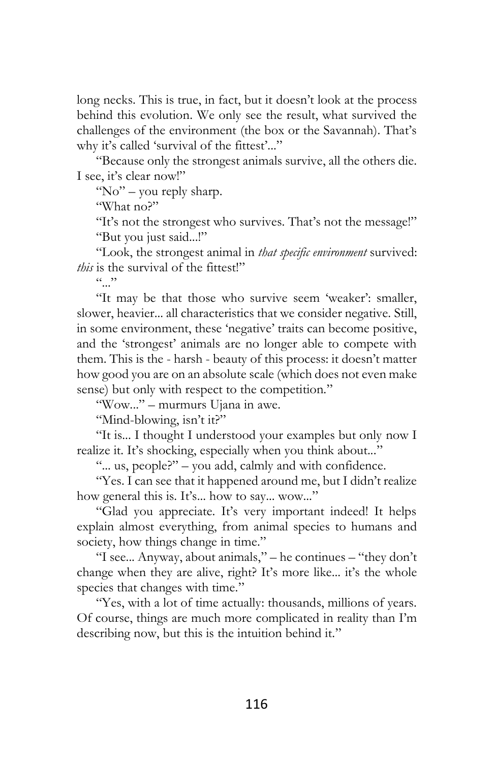long necks. This is true, in fact, but it doesn't look at the process behind this evolution. We only see the result, what survived the challenges of the environment (the box or the Savannah). That's why it's called 'survival of the fittest'..."

"Because only the strongest animals survive, all the others die. I see, it's clear now!"

"No" - you reply sharp.

"What no?"

"It's not the strongest who survives. That's not the message!" "But you just said...!"

"Look, the strongest animal in *that specific environment* survived: *this* is the survival of the fittest!"

 $\cdots$ 

"It may be that those who survive seem 'weaker': smaller, slower, heavier... all characteristics that we consider negative. Still, in some environment, these 'negative' traits can become positive, and the 'strongest' animals are no longer able to compete with them. This is the - harsh - beauty of this process: it doesn't matter how good you are on an absolute scale (which does not even make sense) but only with respect to the competition."

"Wow..." – murmurs Ujana in awe.

"Mind-blowing, isn't it?"

"It is... I thought I understood your examples but only now I realize it. It's shocking, especially when you think about..."

"... us, people?" – you add, calmly and with confidence.

"Yes. I can see that it happened around me, but I didn't realize how general this is. It's... how to say... wow..."

"Glad you appreciate. It's very important indeed! It helps explain almost everything, from animal species to humans and society, how things change in time."

"I see... Anyway, about animals," – he continues – "they don't change when they are alive, right? It's more like... it's the whole species that changes with time."

"Yes, with a lot of time actually: thousands, millions of years. Of course, things are much more complicated in reality than I'm describing now, but this is the intuition behind it."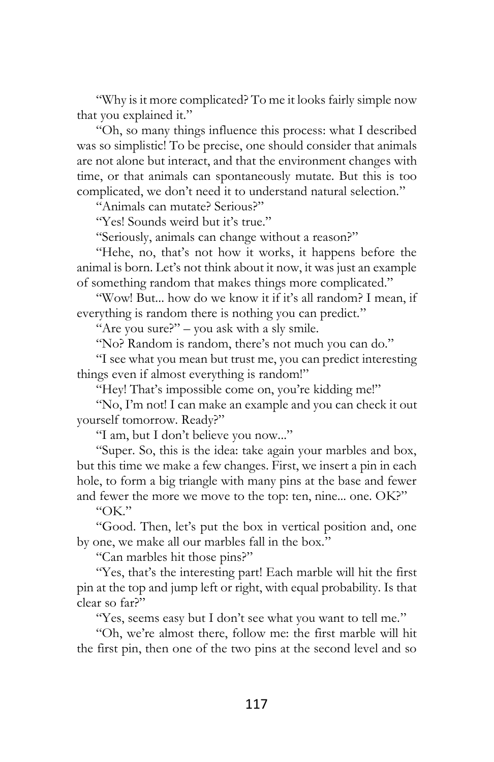"Why is it more complicated? To me it looks fairly simple now that you explained it."

"Oh, so many things influence this process: what I described was so simplistic! To be precise, one should consider that animals are not alone but interact, and that the environment changes with time, or that animals can spontaneously mutate. But this is too complicated, we don't need it to understand natural selection."

"Animals can mutate? Serious?"

"Yes! Sounds weird but it's true."

"Seriously, animals can change without a reason?"

"Hehe, no, that's not how it works, it happens before the animal is born. Let's not think about it now, it was just an example of something random that makes things more complicated."

"Wow! But... how do we know it if it's all random? I mean, if everything is random there is nothing you can predict."

"Are you sure?" – you ask with a sly smile.

"No? Random is random, there's not much you can do."

"I see what you mean but trust me, you can predict interesting things even if almost everything is random!"

"Hey! That's impossible come on, you're kidding me!"

"No, I'm not! I can make an example and you can check it out yourself tomorrow. Ready?"

"I am, but I don't believe you now..."

"Super. So, this is the idea: take again your marbles and box, but this time we make a few changes. First, we insert a pin in each hole, to form a big triangle with many pins at the base and fewer and fewer the more we move to the top: ten, nine... one. OK?"

"OK."

"Good. Then, let's put the box in vertical position and, one by one, we make all our marbles fall in the box."

"Can marbles hit those pins?"

"Yes, that's the interesting part! Each marble will hit the first pin at the top and jump left or right, with equal probability. Is that clear so far?"

"Yes, seems easy but I don't see what you want to tell me."

"Oh, we're almost there, follow me: the first marble will hit the first pin, then one of the two pins at the second level and so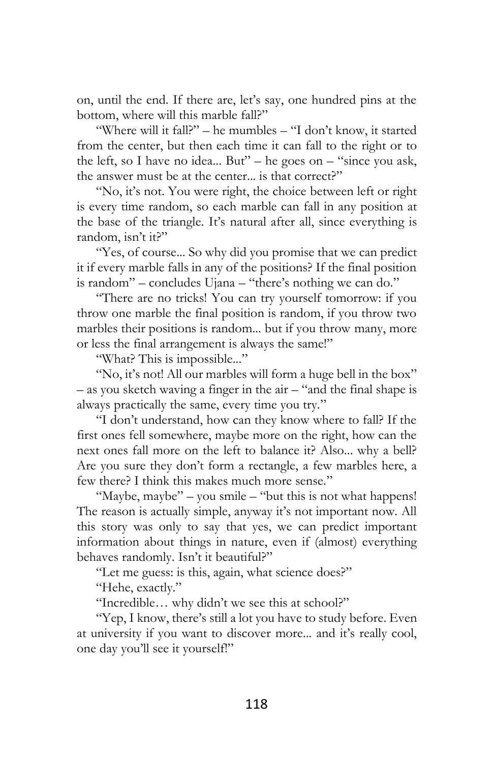on, until the end. If there are, let's say, one hundred pins at the bottom, where will this marble fall?"

"Where will it fall?" – he mumbles – "I don't know, it started from the center, but then each time it can fall to the right or to the left, so I have no idea... But" – he goes on  $-$  "since you ask, the answer must be at the center... is that correct?"

"No, it's not. You were right, the choice between left or right is every time random, so each marble can fall in any position at the base of the triangle. It's natural after all, since everything is random, isn't it?"

"Yes, of course... So why did you promise that we can predict it if every marble falls in any of the positions? If the final position is random" – concludes Ujana – "there's nothing we can do."

"There are no tricks! You can try yourself tomorrow: if you throw one marble the final position is random, if you throw two marbles their positions is random... but if you throw many, more or less the final arrangement is always the same!"

"What? This is impossible..."

"No, it's not! All our marbles will form a huge bell in the box" – as you sketch waving a finger in the air – "and the final shape is always practically the same, every time you try."

"I don't understand, how can they know where to fall? If the first ones fell somewhere, maybe more on the right, how can the next ones fall more on the left to balance it? Also... why a bell? Are you sure they don't form a rectangle, a few marbles here, a few there? I think this makes much more sense."

"Maybe, maybe" – you smile – "but this is not what happens! The reason is actually simple, anyway it's not important now. All this story was only to say that yes, we can predict important information about things in nature, even if (almost) everything behaves randomly. Isn't it beautiful?"

"Let me guess: is this, again, what science does?"

"Hehe, exactly."

"Incredible… why didn't we see this at school?"

"Yep, I know, there's still a lot you have to study before. Even at university if you want to discover more... and it's really cool, one day you'll see it yourself!"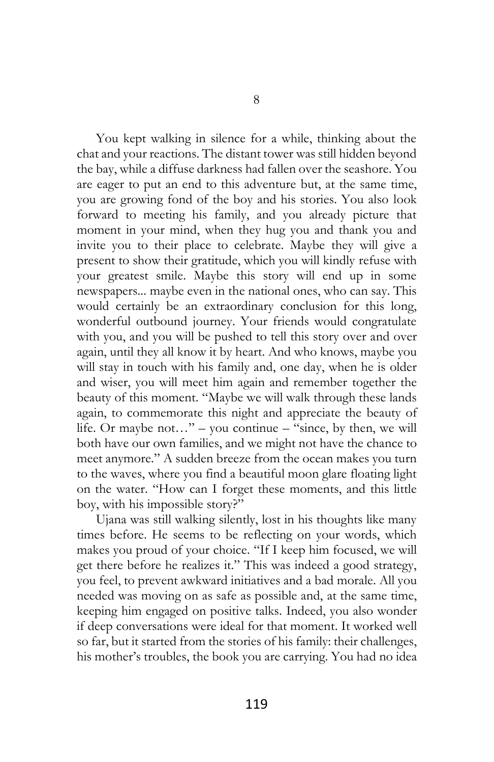You kept walking in silence for a while, thinking about the chat and your reactions. The distant tower was still hidden beyond the bay, while a diffuse darkness had fallen over the seashore. You are eager to put an end to this adventure but, at the same time, you are growing fond of the boy and his stories. You also look forward to meeting his family, and you already picture that moment in your mind, when they hug you and thank you and invite you to their place to celebrate. Maybe they will give a present to show their gratitude, which you will kindly refuse with your greatest smile. Maybe this story will end up in some newspapers... maybe even in the national ones, who can say. This would certainly be an extraordinary conclusion for this long, wonderful outbound journey. Your friends would congratulate with you, and you will be pushed to tell this story over and over again, until they all know it by heart. And who knows, maybe you will stay in touch with his family and, one day, when he is older and wiser, you will meet him again and remember together the beauty of this moment. "Maybe we will walk through these lands again, to commemorate this night and appreciate the beauty of life. Or maybe not..." – you continue – "since, by then, we will both have our own families, and we might not have the chance to meet anymore." A sudden breeze from the ocean makes you turn to the waves, where you find a beautiful moon glare floating light on the water. "How can I forget these moments, and this little boy, with his impossible story?"

Ujana was still walking silently, lost in his thoughts like many times before. He seems to be reflecting on your words, which makes you proud of your choice. "If I keep him focused, we will get there before he realizes it." This was indeed a good strategy, you feel, to prevent awkward initiatives and a bad morale. All you needed was moving on as safe as possible and, at the same time, keeping him engaged on positive talks. Indeed, you also wonder if deep conversations were ideal for that moment. It worked well so far, but it started from the stories of his family: their challenges, his mother's troubles, the book you are carrying. You had no idea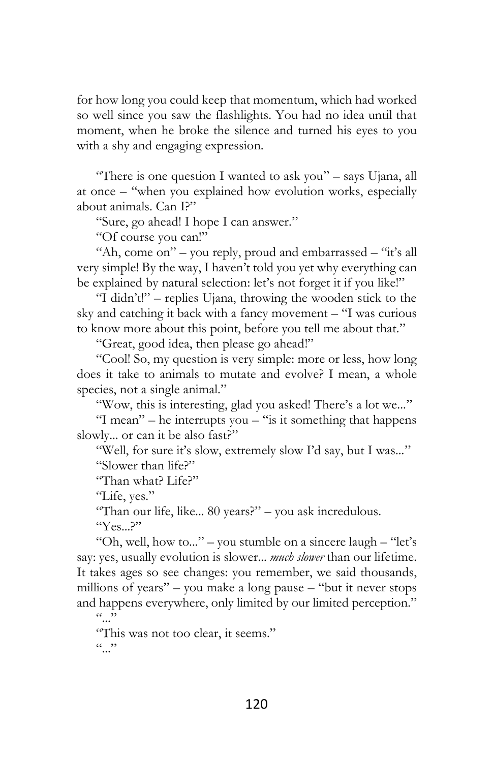for how long you could keep that momentum, which had worked so well since you saw the flashlights. You had no idea until that moment, when he broke the silence and turned his eyes to you with a shy and engaging expression.

"There is one question I wanted to ask you" – says Ujana, all at once – "when you explained how evolution works, especially about animals. Can I?"

"Sure, go ahead! I hope I can answer."

"Of course you can!"

"Ah, come on" – you reply, proud and embarrassed – "it's all very simple! By the way, I haven't told you yet why everything can be explained by natural selection: let's not forget it if you like!"

"I didn't!" – replies Ujana, throwing the wooden stick to the sky and catching it back with a fancy movement – "I was curious to know more about this point, before you tell me about that."

"Great, good idea, then please go ahead!"

"Cool! So, my question is very simple: more or less, how long does it take to animals to mutate and evolve? I mean, a whole species, not a single animal."

"Wow, this is interesting, glad you asked! There's a lot we..."

"I mean" – he interrupts you – "is it something that happens slowly... or can it be also fast?"

"Well, for sure it's slow, extremely slow I'd say, but I was..." "Slower than life?"

"Than what? Life?"

"Life, yes."

"Than our life, like... 80 years?" – you ask incredulous.

"Yes...?"

"Oh, well, how to..." – you stumble on a sincere laugh – "let's say: yes, usually evolution is slower... *much slower* than our lifetime. It takes ages so see changes: you remember, we said thousands, millions of years" – you make a long pause – "but it never stops and happens everywhere, only limited by our limited perception."  $\overline{\cdots}$ 

"This was not too clear, it seems."  $(0, 0)$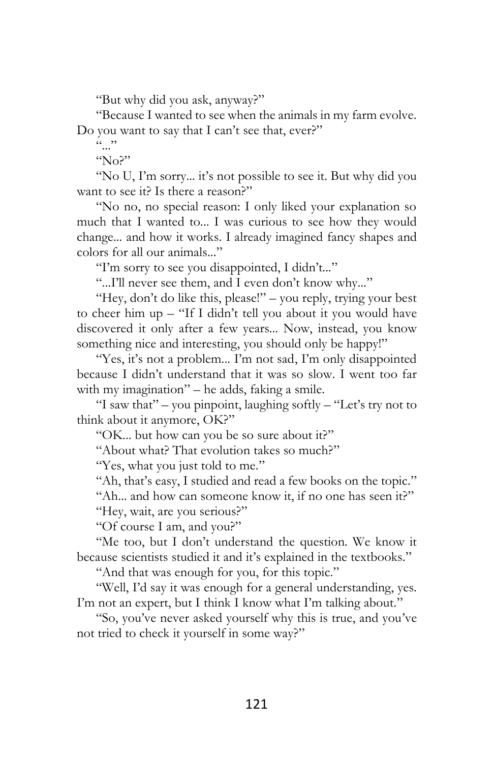"But why did you ask, anyway?"

"Because I wanted to see when the animals in my farm evolve. Do you want to say that I can't see that, ever?"

 $\cdots$ 

 $N_0$ <sup>"</sup>

"No U, I'm sorry... it's not possible to see it. But why did you want to see it? Is there a reason?"

"No no, no special reason: I only liked your explanation so much that I wanted to... I was curious to see how they would change... and how it works. I already imagined fancy shapes and colors for all our animals..."

"I'm sorry to see you disappointed, I didn't..."

"...I'll never see them, and I even don't know why..."

"Hey, don't do like this, please!" – you reply, trying your best to cheer him up – "If I didn't tell you about it you would have discovered it only after a few years... Now, instead, you know something nice and interesting, you should only be happy!"

"Yes, it's not a problem... I'm not sad, I'm only disappointed because I didn't understand that it was so slow. I went too far with my imagination" – he adds, faking a smile.

"I saw that" – you pinpoint, laughing softly – "Let's try not to think about it anymore, OK?"

"OK... but how can you be so sure about it?"

"About what? That evolution takes so much?"

"Yes, what you just told to me."

"Ah, that's easy, I studied and read a few books on the topic."

"Ah... and how can someone know it, if no one has seen it?" "Hey, wait, are you serious?"

"Of course I am, and you?"

"Me too, but I don't understand the question. We know it because scientists studied it and it's explained in the textbooks."

"And that was enough for you, for this topic."

"Well, I'd say it was enough for a general understanding, yes. I'm not an expert, but I think I know what I'm talking about."

"So, you've never asked yourself why this is true, and you've not tried to check it yourself in some way?"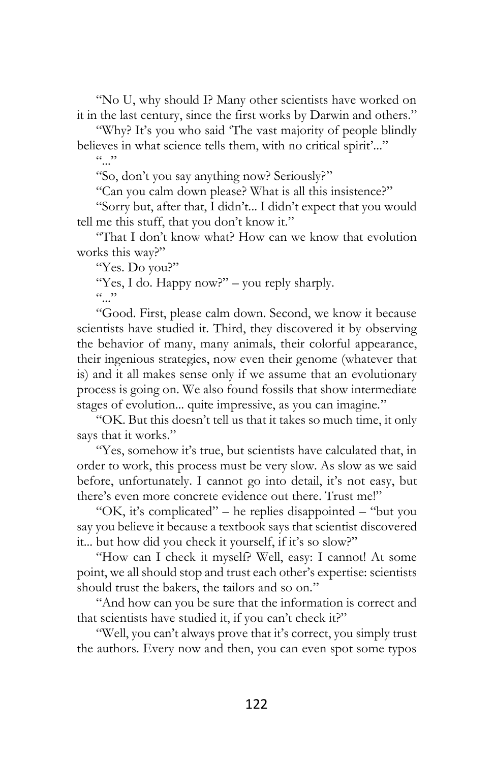"No U, why should I? Many other scientists have worked on it in the last century, since the first works by Darwin and others."

"Why? It's you who said 'The vast majority of people blindly believes in what science tells them, with no critical spirit'..."  $\cdots$ 

"So, don't you say anything now? Seriously?"

"Can you calm down please? What is all this insistence?"

"Sorry but, after that, I didn't... I didn't expect that you would tell me this stuff, that you don't know it."

"That I don't know what? How can we know that evolution works this way?"

"Yes. Do you?"

"Yes, I do. Happy now?" – you reply sharply.  $(0, 0)$ 

"Good. First, please calm down. Second, we know it because scientists have studied it. Third, they discovered it by observing the behavior of many, many animals, their colorful appearance, their ingenious strategies, now even their genome (whatever that is) and it all makes sense only if we assume that an evolutionary process is going on. We also found fossils that show intermediate stages of evolution... quite impressive, as you can imagine."

"OK. But this doesn't tell us that it takes so much time, it only says that it works."

"Yes, somehow it's true, but scientists have calculated that, in order to work, this process must be very slow. As slow as we said before, unfortunately. I cannot go into detail, it's not easy, but there's even more concrete evidence out there. Trust me!"

"OK, it's complicated" – he replies disappointed – "but you say you believe it because a textbook says that scientist discovered it... but how did you check it yourself, if it's so slow?"

"How can I check it myself? Well, easy: I cannot! At some point, we all should stop and trust each other's expertise: scientists should trust the bakers, the tailors and so on."

"And how can you be sure that the information is correct and that scientists have studied it, if you can't check it?"

"Well, you can't always prove that it's correct, you simply trust the authors. Every now and then, you can even spot some typos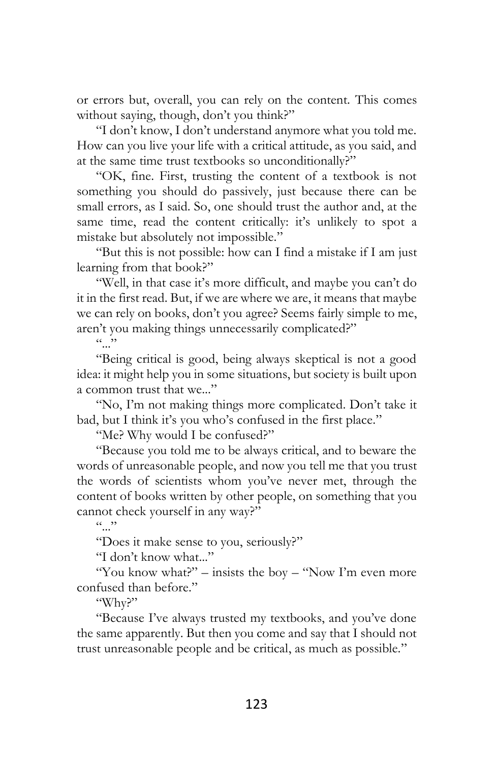or errors but, overall, you can rely on the content. This comes without saying, though, don't you think?"

"I don't know, I don't understand anymore what you told me. How can you live your life with a critical attitude, as you said, and at the same time trust textbooks so unconditionally?"

"OK, fine. First, trusting the content of a textbook is not something you should do passively, just because there can be small errors, as I said. So, one should trust the author and, at the same time, read the content critically: it's unlikely to spot a mistake but absolutely not impossible."

"But this is not possible: how can I find a mistake if I am just learning from that book?"

"Well, in that case it's more difficult, and maybe you can't do it in the first read. But, if we are where we are, it means that maybe we can rely on books, don't you agree? Seems fairly simple to me, aren't you making things unnecessarily complicated?"

 $\cdots$ 

"Being critical is good, being always skeptical is not a good idea: it might help you in some situations, but society is built upon a common trust that we..."

"No, I'm not making things more complicated. Don't take it bad, but I think it's you who's confused in the first place."

"Me? Why would I be confused?"

"Because you told me to be always critical, and to beware the words of unreasonable people, and now you tell me that you trust the words of scientists whom you've never met, through the content of books written by other people, on something that you cannot check yourself in any way?"

 $\cdots$ 

"Does it make sense to you, seriously?"

"I don't know what..."

"You know what?" – insists the boy – "Now I'm even more" confused than before."

"Why?"

"Because I've always trusted my textbooks, and you've done the same apparently. But then you come and say that I should not trust unreasonable people and be critical, as much as possible."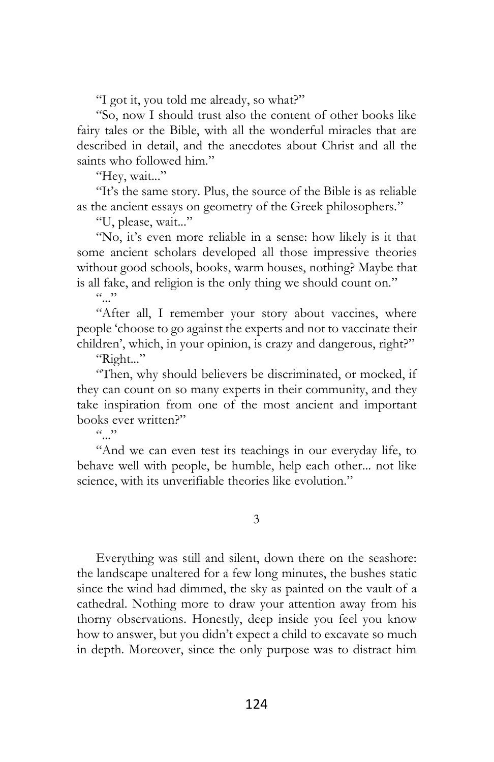"I got it, you told me already, so what?"

"So, now I should trust also the content of other books like fairy tales or the Bible, with all the wonderful miracles that are described in detail, and the anecdotes about Christ and all the saints who followed him."

"Hey, wait..."

"It's the same story. Plus, the source of the Bible is as reliable as the ancient essays on geometry of the Greek philosophers."

"U, please, wait..."

"No, it's even more reliable in a sense: how likely is it that some ancient scholars developed all those impressive theories without good schools, books, warm houses, nothing? Maybe that is all fake, and religion is the only thing we should count on."

 $(0, 0)$ 

"After all, I remember your story about vaccines, where people 'choose to go against the experts and not to vaccinate their children', which, in your opinion, is crazy and dangerous, right?"

"Right..."

"Then, why should believers be discriminated, or mocked, if they can count on so many experts in their community, and they take inspiration from one of the most ancient and important books ever written?"

 $\left( c \rightarrow \right)$ 

"And we can even test its teachings in our everyday life, to behave well with people, be humble, help each other... not like science, with its unverifiable theories like evolution."

3

Everything was still and silent, down there on the seashore: the landscape unaltered for a few long minutes, the bushes static since the wind had dimmed, the sky as painted on the vault of a cathedral. Nothing more to draw your attention away from his thorny observations. Honestly, deep inside you feel you know how to answer, but you didn't expect a child to excavate so much in depth. Moreover, since the only purpose was to distract him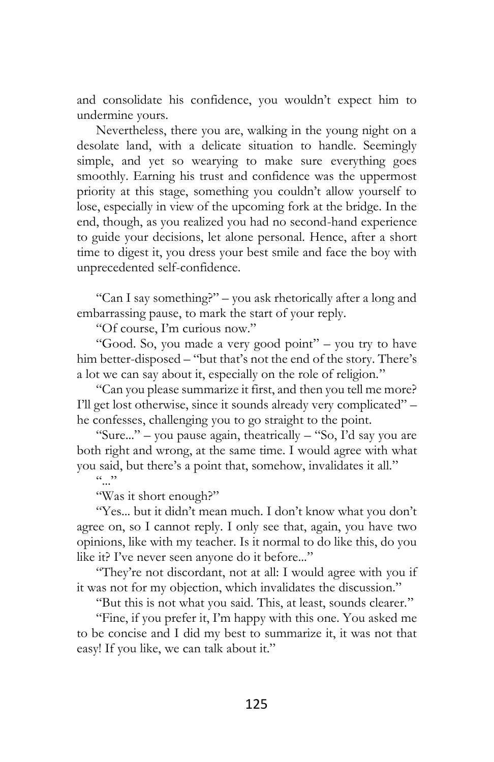and consolidate his confidence, you wouldn't expect him to undermine yours.

Nevertheless, there you are, walking in the young night on a desolate land, with a delicate situation to handle. Seemingly simple, and yet so wearying to make sure everything goes smoothly. Earning his trust and confidence was the uppermost priority at this stage, something you couldn't allow yourself to lose, especially in view of the upcoming fork at the bridge. In the end, though, as you realized you had no second-hand experience to guide your decisions, let alone personal. Hence, after a short time to digest it, you dress your best smile and face the boy with unprecedented self-confidence.

"Can I say something?" – you ask rhetorically after a long and embarrassing pause, to mark the start of your reply.

"Of course, I'm curious now."

"Good. So, you made a very good point" – you try to have him better-disposed – "but that's not the end of the story. There's a lot we can say about it, especially on the role of religion."

"Can you please summarize it first, and then you tell me more? I'll get lost otherwise, since it sounds already very complicated" – he confesses, challenging you to go straight to the point.

"Sure..." – you pause again, theatrically – "So, I'd say you are both right and wrong, at the same time. I would agree with what you said, but there's a point that, somehow, invalidates it all."

 $(0, 0)$ 

"Was it short enough?"

"Yes... but it didn't mean much. I don't know what you don't agree on, so I cannot reply. I only see that, again, you have two opinions, like with my teacher. Is it normal to do like this, do you like it? I've never seen anyone do it before..."

"They're not discordant, not at all: I would agree with you if it was not for my objection, which invalidates the discussion."

"But this is not what you said. This, at least, sounds clearer."

"Fine, if you prefer it, I'm happy with this one. You asked me to be concise and I did my best to summarize it, it was not that easy! If you like, we can talk about it."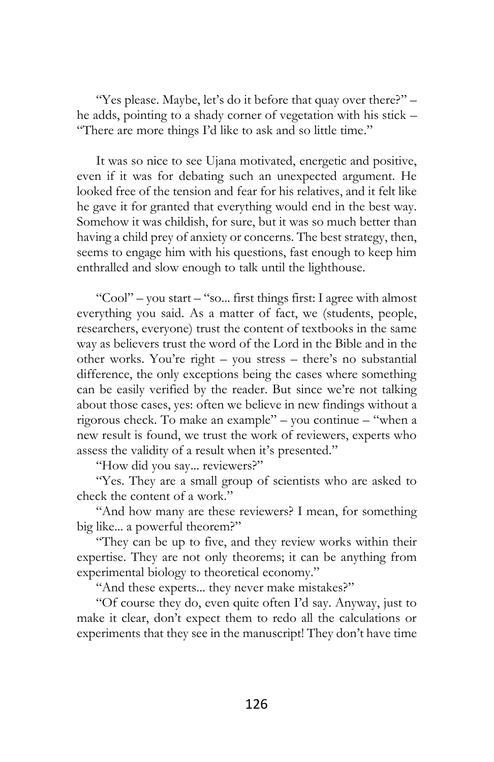"Yes please. Maybe, let's do it before that quay over there?" – he adds, pointing to a shady corner of vegetation with his stick – "There are more things I'd like to ask and so little time."

It was so nice to see Ujana motivated, energetic and positive, even if it was for debating such an unexpected argument. He looked free of the tension and fear for his relatives, and it felt like he gave it for granted that everything would end in the best way. Somehow it was childish, for sure, but it was so much better than having a child prey of anxiety or concerns. The best strategy, then, seems to engage him with his questions, fast enough to keep him enthralled and slow enough to talk until the lighthouse.

"Cool" – you start – "so... first things first: I agree with almost everything you said. As a matter of fact, we (students, people, researchers, everyone) trust the content of textbooks in the same way as believers trust the word of the Lord in the Bible and in the other works. You're right – you stress – there's no substantial difference, the only exceptions being the cases where something can be easily verified by the reader. But since we're not talking about those cases, yes: often we believe in new findings without a rigorous check. To make an example" – you continue – "when a new result is found, we trust the work of reviewers, experts who assess the validity of a result when it's presented."

"How did you say... reviewers?"

"Yes. They are a small group of scientists who are asked to check the content of a work."

"And how many are these reviewers? I mean, for something big like... a powerful theorem?"

"They can be up to five, and they review works within their expertise. They are not only theorems; it can be anything from experimental biology to theoretical economy."

"And these experts... they never make mistakes?"

"Of course they do, even quite often I'd say. Anyway, just to make it clear, don't expect them to redo all the calculations or experiments that they see in the manuscript! They don't have time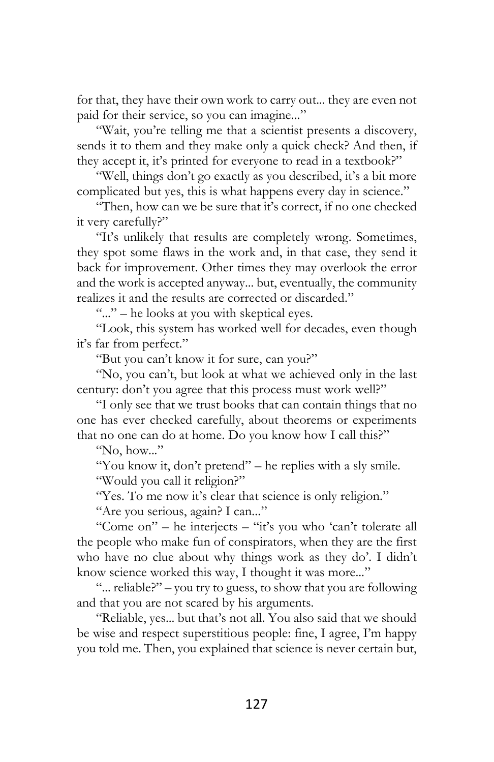for that, they have their own work to carry out... they are even not paid for their service, so you can imagine..."

"Wait, you're telling me that a scientist presents a discovery, sends it to them and they make only a quick check? And then, if they accept it, it's printed for everyone to read in a textbook?"

"Well, things don't go exactly as you described, it's a bit more complicated but yes, this is what happens every day in science."

"Then, how can we be sure that it's correct, if no one checked it very carefully?"

"It's unlikely that results are completely wrong. Sometimes, they spot some flaws in the work and, in that case, they send it back for improvement. Other times they may overlook the error and the work is accepted anyway... but, eventually, the community realizes it and the results are corrected or discarded."

"..." – he looks at you with skeptical eyes.

"Look, this system has worked well for decades, even though it's far from perfect."

"But you can't know it for sure, can you?"

"No, you can't, but look at what we achieved only in the last century: don't you agree that this process must work well?"

"I only see that we trust books that can contain things that no one has ever checked carefully, about theorems or experiments that no one can do at home. Do you know how I call this?"

"No, how..."

"You know it, don't pretend" – he replies with a sly smile.

"Would you call it religion?"

"Yes. To me now it's clear that science is only religion."

"Are you serious, again? I can..."

"Come on" – he interjects – "it's you who 'can't tolerate all the people who make fun of conspirators, when they are the first who have no clue about why things work as they do'. I didn't know science worked this way, I thought it was more..."

"... reliable?" – you try to guess, to show that you are following and that you are not scared by his arguments.

"Reliable, yes... but that's not all. You also said that we should be wise and respect superstitious people: fine, I agree, I'm happy you told me. Then, you explained that science is never certain but,